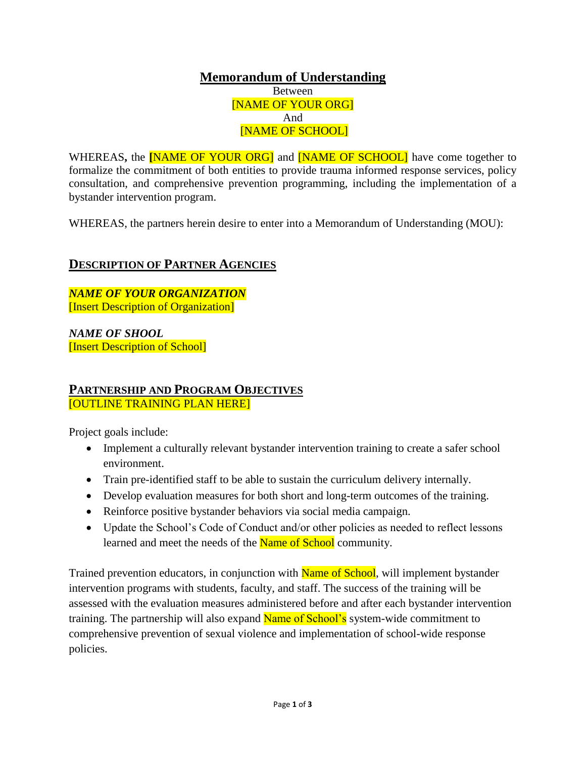**Memorandum of Understanding** Between [NAME OF YOUR ORG] And [NAME OF SCHOOL]

WHEREAS**,** the **[**NAME OF YOUR ORG] and [NAME OF SCHOOL] have come together to formalize the commitment of both entities to provide trauma informed response services, policy consultation, and comprehensive prevention programming, including the implementation of a bystander intervention program.

WHEREAS, the partners herein desire to enter into a Memorandum of Understanding (MOU):

## **DESCRIPTION OF PARTNER AGENCIES**

*NAME OF YOUR ORGANIZATION* [Insert Description of Organization]

*NAME OF SHOOL*  [Insert Description of School]

#### **PARTNERSHIP AND PROGRAM OBJECTIVES** [OUTLINE TRAINING PLAN HERE]

Project goals include:

- Implement a culturally relevant bystander intervention training to create a safer school environment.
- Train pre-identified staff to be able to sustain the curriculum delivery internally.
- Develop evaluation measures for both short and long-term outcomes of the training.
- Reinforce positive bystander behaviors via social media campaign.
- Update the School's Code of Conduct and/or other policies as needed to reflect lessons learned and meet the needs of the Name of School community.

Trained prevention educators, in conjunction with **Name of School**, will implement bystander intervention programs with students, faculty, and staff. The success of the training will be assessed with the evaluation measures administered before and after each bystander intervention training. The partnership will also expand Name of School's system-wide commitment to comprehensive prevention of sexual violence and implementation of school-wide response policies.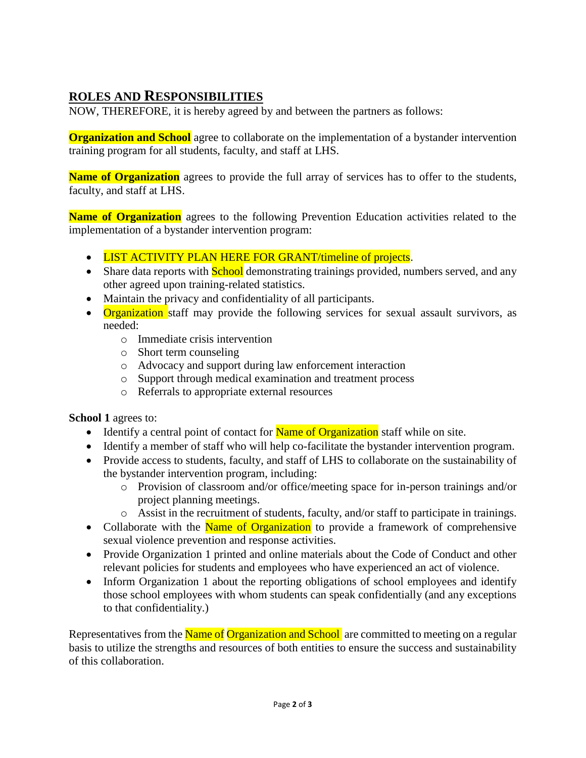# **ROLES AND RESPONSIBILITIES**

NOW, THEREFORE, it is hereby agreed by and between the partners as follows:

**Organization and School** agree to collaborate on the implementation of a bystander intervention training program for all students, faculty, and staff at LHS.

**Name of Organization** agrees to provide the full array of services has to offer to the students, faculty, and staff at LHS.

**Name of Organization** agrees to the following Prevention Education activities related to the implementation of a bystander intervention program:

- LIST ACTIVITY PLAN HERE FOR GRANT/timeline of projects.
- Share data reports with **School** demonstrating trainings provided, numbers served, and any other agreed upon training-related statistics.
- Maintain the privacy and confidentiality of all participants.
- Organization staff may provide the following services for sexual assault survivors, as needed:
	- o Immediate crisis intervention
	- o Short term counseling
	- o Advocacy and support during law enforcement interaction
	- o Support through medical examination and treatment process
	- o Referrals to appropriate external resources

**School 1** agrees to:

- Identify a central point of contact for **Name of Organization** staff while on site.
- Identify a member of staff who will help co-facilitate the bystander intervention program.
- Provide access to students, faculty, and staff of LHS to collaborate on the sustainability of the bystander intervention program, including:
	- o Provision of classroom and/or office/meeting space for in-person trainings and/or project planning meetings.
	- o Assist in the recruitment of students, faculty, and/or staff to participate in trainings.
- Collaborate with the Name of Organization to provide a framework of comprehensive sexual violence prevention and response activities.
- Provide Organization 1 printed and online materials about the Code of Conduct and other relevant policies for students and employees who have experienced an act of violence.
- Inform Organization 1 about the reporting obligations of school employees and identify those school employees with whom students can speak confidentially (and any exceptions to that confidentiality.)

Representatives from the Name of Organization and School are committed to meeting on a regular basis to utilize the strengths and resources of both entities to ensure the success and sustainability of this collaboration.